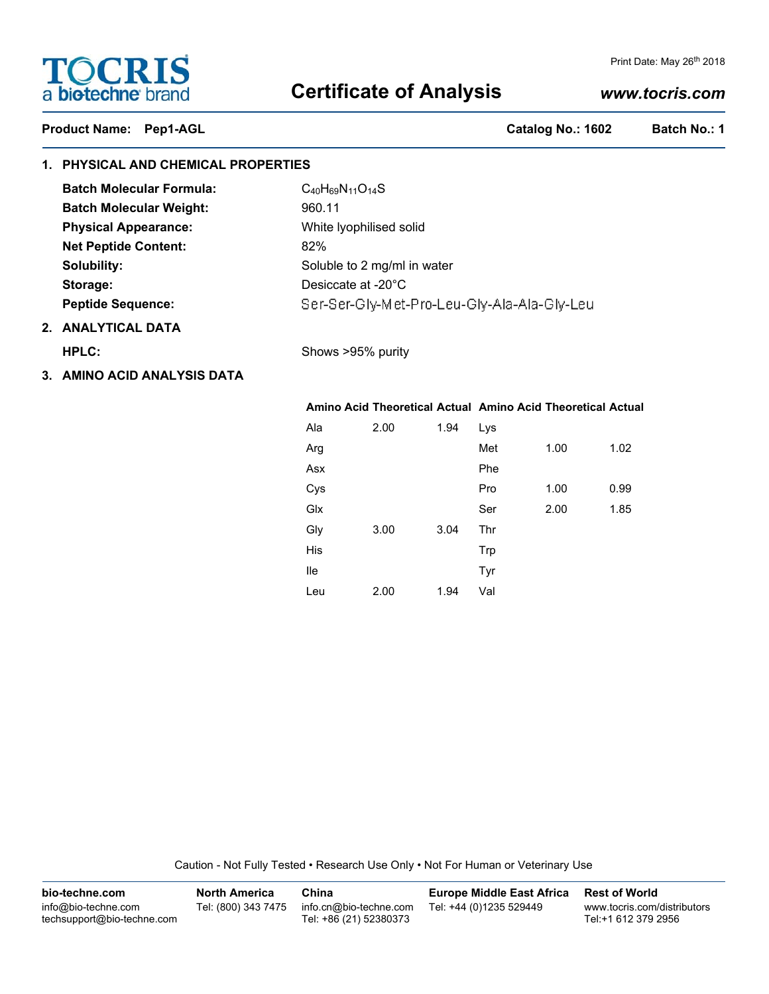# **TOCRIS** a biotechne brand

## **Certificate of Analysis**

### Print Date: May 26<sup>th</sup> 2018

## *www.tocris.com*

## Product Name: Pep1-AGL **Catalog No.: 1602** Batch No.: 1

## **1. PHYSICAL AND CHEMICAL PROPERTIES**

| <b>Batch Molecular Formula:</b> | $C_{40}H_{69}N_{11}O_{14}S$                 |
|---------------------------------|---------------------------------------------|
| <b>Batch Molecular Weight:</b>  | 960.11                                      |
| <b>Physical Appearance:</b>     | White Iyophilised solid                     |
| <b>Net Peptide Content:</b>     | 82%                                         |
| Solubility:                     | Soluble to 2 mg/ml in water                 |
| Storage:                        | Desiccate at -20°C                          |
| <b>Peptide Sequence:</b>        | Ser-Ser-Gly-Met-Pro-Leu-Gly-Ala-Ala-Gly-Leu |
|                                 |                                             |

## **2. ANALYTICAL DATA**

**HPLC:** Shows >95% purity

| 3. AMINO ACID ANALYSIS DATA |  |  |
|-----------------------------|--|--|
|                             |  |  |

|     |      |      | Amino Acid Theoretical Actual Amino Acid Theoretical Actual |      |      |
|-----|------|------|-------------------------------------------------------------|------|------|
| Ala | 2.00 | 1.94 | Lys                                                         |      |      |
| Arg |      |      | Met                                                         | 1.00 | 1.02 |
| Asx |      |      | Phe                                                         |      |      |
| Cys |      |      | Pro                                                         | 1.00 | 0.99 |
| Glx |      |      | Ser                                                         | 2.00 | 1.85 |
| Gly | 3.00 | 3.04 | Thr                                                         |      |      |
| His |      |      | Trp                                                         |      |      |
| lle |      |      | Tyr                                                         |      |      |
| Leu | 2.00 | 1.94 | Val                                                         |      |      |

Caution - Not Fully Tested • Research Use Only • Not For Human or Veterinary Use

| bio-techne.com                                    | <b>North America</b> | China                                            | <b>Europe Middle East Africa</b> | <b>Rest of World</b>                               |
|---------------------------------------------------|----------------------|--------------------------------------------------|----------------------------------|----------------------------------------------------|
| info@bio-techne.com<br>techsupport@bio-techne.com | Tel: (800) 343 7475  | info.cn@bio-techne.com<br>Tel: +86 (21) 52380373 | Tel: +44 (0)1235 529449          | www.tocris.com/distributors<br>Tel:+1 612 379 2956 |